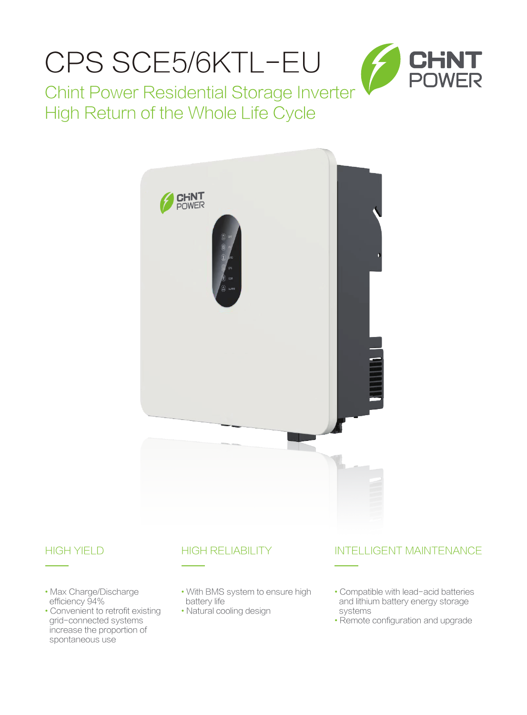

## High Return of the Whole Life Cycle



- Max Charge/Discharge efficiency 94%
- Convenient to retrofit existing grid-connected systems increase the proportion of spontaneous use

## HIGH YIELD HIGH RELIABILITY

- With BMS system to ensure high battery life
- Natural cooling design

## INTELLIGENT MAINTENANCE

- Compatible with lead-acid batteries and lithium battery energy storage systems
- Remote configuration and upgrade